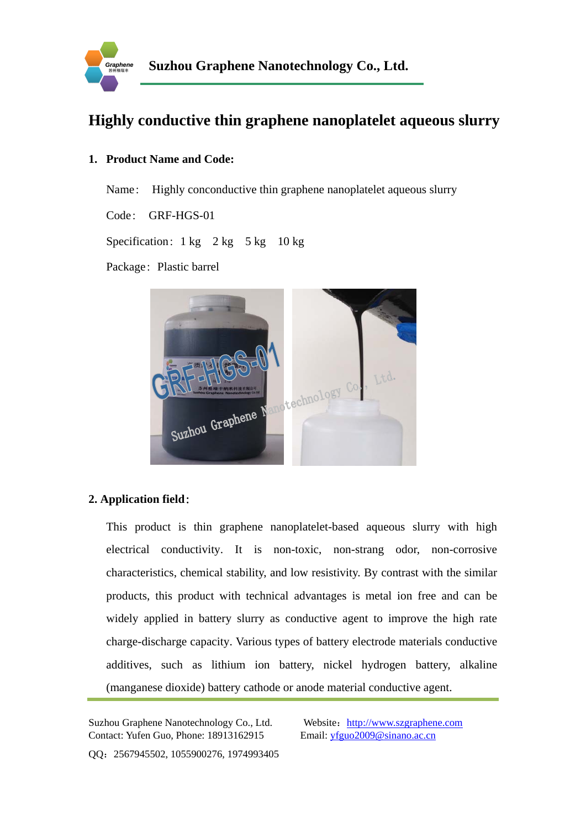

# **Highly conductive thin graphene nanoplatelet aqueous slurry**

#### **1. Product Name and Code:**

Name: Highly conconductive thin graphene nanoplatelet aqueous slurry

Code: GRF-HGS-01

Specification:  $1 \text{ kg}$   $2 \text{ kg}$   $5 \text{ kg}$   $10 \text{ kg}$ 

Package: Plastic barrel



### **2. Application field**:

This product is thin graphene nanoplatelet-based aqueous slurry with high electrical conductivity. It is non-toxic, non-strang odor, non-corrosive characteristics, chemical stability, and low resistivity. By contrast with the similar products, this product with technical advantages is metal ion free and can be widely applied in battery slurry as conductive agent to improve the high rate charge-discharge capacity. Various types of battery electrode materials conductive additives, such as lithium ion battery, nickel hydrogen battery, alkaline (manganese dioxide) battery cathode or anode material conductive agent.

Suzhou Graphene Nanotechnology Co., Ltd. Website: http://www.szgraphene.com Contact: Yufen Guo, Phone: 18913162915 Email: yfguo2009@sinano.ac.cn

QQ:2567945502, 1055900276, 1974993405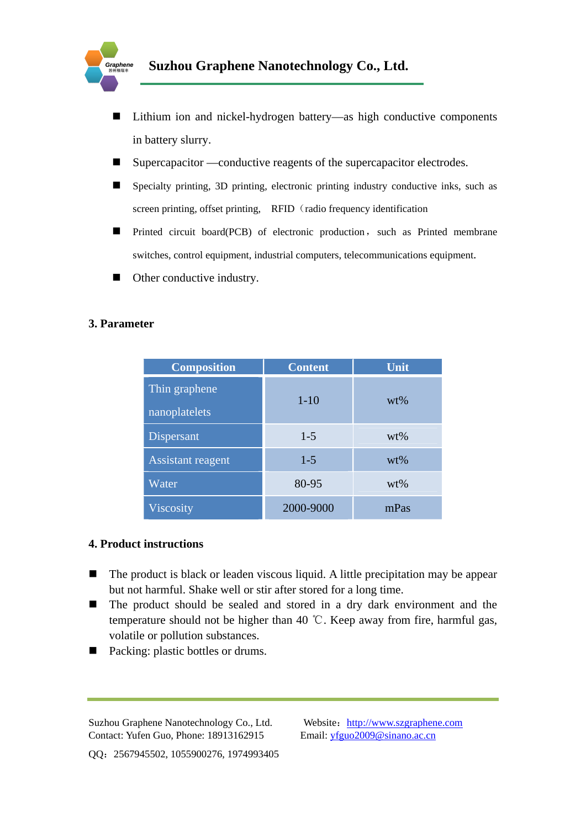

- Lithium ion and nickel-hydrogen battery—as high conductive components in battery slurry.
- Supercapacitor —conductive reagents of the supercapacitor electrodes.
- Specialty printing, 3D printing, electronic printing industry conductive inks, such as screen printing, offset printing, RFID (radio frequency identification
- Printed circuit board(PCB) of electronic production, such as Printed membrane switches, control equipment, industrial computers, telecommunications equipment.
- Other conductive industry.

#### **3. Parameter**

| <b>Composition</b>             | <b>Content</b> | Unit   |
|--------------------------------|----------------|--------|
| Thin graphene<br>nanoplatelets | $1 - 10$       | $wt\%$ |
| Dispersant                     | $1-5$          | $wt\%$ |
| Assistant reagent              | $1 - 5$        | $wt\%$ |
| Water                          | 80-95          | $wt\%$ |
| <b>Viscosity</b>               | 2000-9000      | mPas   |

#### **4. Product instructions**

- $\blacksquare$  The product is black or leaden viscous liquid. A little precipitation may be appear but not harmful. Shake well or stir after stored for a long time.
- The product should be sealed and stored in a dry dark environment and the temperature should not be higher than 40 ℃. Keep away from fire, harmful gas, volatile or pollution substances.
- Packing: plastic bottles or drums.

Suzhou Graphene Nanotechnology Co., Ltd. Website: http://www.szgraphene.com Contact: Yufen Guo, Phone: 18913162915 Email: yfguo2009@sinano.ac.cn

QQ:2567945502, 1055900276, 1974993405